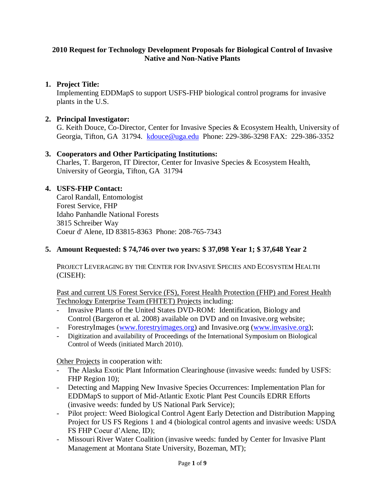### **2010 Request for Technology Development Proposals for Biological Control of Invasive Native and Non-Native Plants**

# **1. Project Title:**

Implementing EDDMapS to support USFS-FHP biological control programs for invasive plants in the U.S.

## **2. Principal Investigator:**

G. Keith Douce, Co-Director, Center for Invasive Species & Ecosystem Health, University of Georgia, Tifton, GA 31794. [kdouce@uga.edu](mailto:kdouce@uga.edu) Phone: 229-386-3298 FAX: 229-386-3352

# **3. Cooperators and Other Participating Institutions:**

Charles, T. Bargeron, IT Director, Center for Invasive Species & Ecosystem Health, University of Georgia, Tifton, GA 31794

# **4. USFS-FHP Contact:**

Carol Randall, Entomologist Forest Service, FHP Idaho Panhandle National Forests 3815 Schreiber Way Coeur d' Alene, ID 83815-8363 Phone: 208-765-7343

## **5. Amount Requested: \$ 74,746 over two years: \$ 37,098 Year 1; \$ 37,648 Year 2**

PROJECT LEVERAGING BY THE CENTER FOR INVASIVE SPECIES AND ECOSYSTEM HEALTH (CISEH):

Past and current US Forest Service (FS), Forest Health Protection (FHP) and Forest Health Technology Enterprise Team (FHTET) Projects including:

- Invasive Plants of the United States DVD-ROM: Identification, Biology and Control (Bargeron et al. 2008) available on DVD and on Invasive.org website;
- ForestryImages [\(www.forestryimages.org\)](http://www.forestryimages.org/) and Invasive.org [\(www.invasive.org\)](http://www.invasive.org/);
- Digitization and availability of Proceedings of the International Symposium on Biological Control of Weeds (initiated March 2010).

Other Projects in cooperation with:

- The Alaska Exotic Plant Information Clearinghouse (invasive weeds: funded by USFS: FHP Region 10);
- Detecting and Mapping New Invasive Species Occurrences: Implementation Plan for EDDMapS to support of Mid-Atlantic Exotic Plant Pest Councils EDRR Efforts (invasive weeds: funded by US National Park Service);
- Pilot project: Weed Biological Control Agent Early Detection and Distribution Mapping Project for US FS Regions 1 and 4 (biological control agents and invasive weeds: USDA FS FHP Coeur d'Alene, ID);
- Missouri River Water Coalition (invasive weeds: funded by Center for Invasive Plant Management at Montana State University, Bozeman, MT);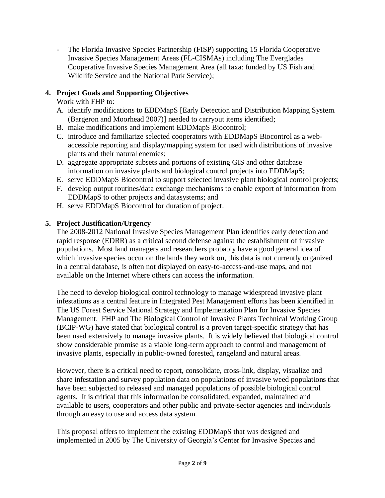The Florida Invasive Species Partnership (FISP) supporting 15 Florida Cooperative Invasive Species Management Areas (FL-CISMAs) including The Everglades Cooperative Invasive Species Management Area (all taxa: funded by US Fish and Wildlife Service and the National Park Service);

# **4. Project Goals and Supporting Objectives**

Work with FHP to:

- A. identify modifications to EDDMapS [Early Detection and Distribution Mapping System. (Bargeron and Moorhead 2007)] needed to carryout items identified;
- B. make modifications and implement EDDMapS Biocontrol;
- C. introduce and familiarize selected cooperators with EDDMapS Biocontrol as a webaccessible reporting and display/mapping system for used with distributions of invasive plants and their natural enemies;
- D. aggregate appropriate subsets and portions of existing GIS and other database information on invasive plants and biological control projects into EDDMapS;
- E. serve EDDMapS Biocontrol to support selected invasive plant biological control projects;
- F. develop output routines/data exchange mechanisms to enable export of information from EDDMapS to other projects and datasystems; and
- H. serve EDDMapS Biocontrol for duration of project.

# **5. Project Justification/Urgency**

The 2008-2012 National Invasive Species Management Plan identifies early detection and rapid response (EDRR) as a critical second defense against the establishment of invasive populations. Most land managers and researchers probably have a good general idea of which invasive species occur on the lands they work on, this data is not currently organized in a central database, is often not displayed on easy-to-access-and-use maps, and not available on the Internet where others can access the information.

The need to develop biological control technology to manage widespread invasive plant infestations as a central feature in Integrated Pest Management efforts has been identified in The US Forest Service National Strategy and Implementation Plan for Invasive Species Management. FHP and The Biological Control of Invasive Plants Technical Working Group (BCIP-WG) have stated that biological control is a proven target-specific strategy that has been used extensively to manage invasive plants. It is widely believed that biological control show considerable promise as a viable long-term approach to control and management of invasive plants, especially in public-owned forested, rangeland and natural areas.

However, there is a critical need to report, consolidate, cross-link, display, visualize and share infestation and survey population data on populations of invasive weed populations that have been subjected to released and managed populations of possible biological control agents. It is critical that this information be consolidated, expanded, maintained and available to users, cooperators and other public and private-sector agencies and individuals through an easy to use and access data system.

This proposal offers to implement the existing EDDMapS that was designed and implemented in 2005 by The University of Georgia's Center for Invasive Species and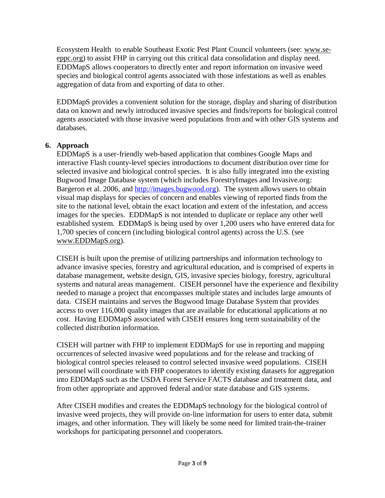Ecosystem Health to enable Southeast Exotic Pest Plant Council volunteers (see: [www.se](http://www.se-eppc.org/)[eppc.org\)](http://www.se-eppc.org/) to assist FHP in carrying out this critical data consolidation and display need. EDDMapS allows cooperators to directly enter and report information on invasive weed species and biological control agents associated with those infestations as well as enables aggregation of data from and exporting of data to other.

EDDMapS provides a convenient solution for the storage, display and sharing of distribution data on known and newly introduced invasive species and finds/reports for biological control agents associated with those invasive weed populations from and with other GIS systems and databases.

# **6. Approach**

EDDMapS is a user-friendly web-based application that combines Google Maps and interactive Flash county-level species introductions to document distribution over time for selected invasive and biological control species. It is also fully integrated into the existing Bugwood Image Database system (which includes ForestryImages and Invasive.org: Bargeron et al. 2006, and [http://images.bugwood.org\)](http://images.bugwood.org/). The system allows users to obtain visual map displays for species of concern and enables viewing of reported finds from the site to the national level, obtain the exact location and extent of the infestation, and access images for the species. EDDMapS is not intended to duplicate or replace any other well established system. EDDMapS is being used by over 1,200 users who have entered data for 1,700 species of concern (including biological control agents) across the U.S. (see [www.EDDMapS.org\)](http://www.eddmaps.org/).

CISEH is built upon the premise of utilizing partnerships and information technology to advance invasive species, forestry and agricultural education, and is comprised of experts in database management, website design, GIS, invasive species biology, forestry, agricultural systems and natural areas management. CISEH personnel have the experience and flexibility needed to manage a project that encompasses multiple states and includes large amounts of data. CISEH maintains and serves the Bugwood Image Database System that provides access to over 116,000 quality images that are available for educational applications at no cost. Having EDDMapS associated with CISEH ensures long term sustainability of the collected distribution information.

CISEH will partner with FHP to implement EDDMapS for use in reporting and mapping occurrences of selected invasive weed populations and for the release and tracking of biological control species released to control selected invasive weed populations. CISEH personnel will coordinate with FHP cooperators to identify existing datasets for aggregation into EDDMapS such as the USDA Forest Service FACTS database and treatment data, and from other appropriate and approved federal and/or state database and GIS systems.

After CISEH modifies and creates the EDDMapS technology for the biological control of invasive weed projects, they will provide on-line information for users to enter data, submit images, and other information. They will likely be some need for limited train-the-trainer workshops for participating personnel and cooperators.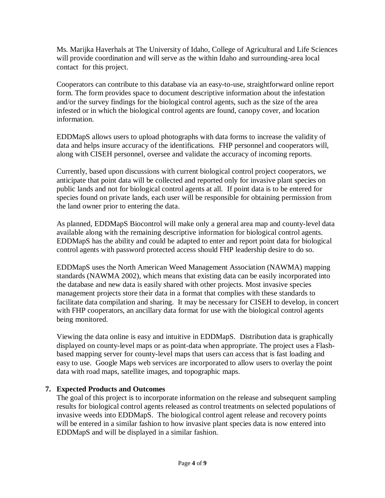Ms. Marijka Haverhals at The University of Idaho, College of Agricultural and Life Sciences will provide coordination and will serve as the within Idaho and surrounding-area local contact for this project.

Cooperators can contribute to this database via an easy-to-use, straightforward online report form. The form provides space to document descriptive information about the infestation and/or the survey findings for the biological control agents, such as the size of the area infested or in which the biological control agents are found, canopy cover, and location information.

EDDMapS allows users to upload photographs with data forms to increase the validity of data and helps insure accuracy of the identifications. FHP personnel and cooperators will, along with CISEH personnel, oversee and validate the accuracy of incoming reports.

Currently, based upon discussions with current biological control project cooperators, we anticipate that point data will be collected and reported only for invasive plant species on public lands and not for biological control agents at all. If point data is to be entered for species found on private lands, each user will be responsible for obtaining permission from the land owner prior to entering the data.

As planned, EDDMapS Biocontrol will make only a general area map and county-level data available along with the remaining descriptive information for biological control agents. EDDMapS has the ability and could be adapted to enter and report point data for biological control agents with password protected access should FHP leadership desire to do so.

EDDMapS uses the North American Weed Management Association (NAWMA) mapping standards (NAWMA 2002), which means that existing data can be easily incorporated into the database and new data is easily shared with other projects. Most invasive species management projects store their data in a format that complies with these standards to facilitate data compilation and sharing. It may be necessary for CISEH to develop, in concert with FHP cooperators, an ancillary data format for use with the biological control agents being monitored.

Viewing the data online is easy and intuitive in EDDMapS. Distribution data is graphically displayed on county-level maps or as point-data when appropriate. The project uses a Flashbased mapping server for county-level maps that users can access that is fast loading and easy to use. Google Maps web services are incorporated to allow users to overlay the point data with road maps, satellite images, and topographic maps.

# **7. Expected Products and Outcomes**

The goal of this project is to incorporate information on the release and subsequent sampling results for biological control agents released as control treatments on selected populations of invasive weeds into EDDMapS. The biological control agent release and recovery points will be entered in a similar fashion to how invasive plant species data is now entered into EDDMapS and will be displayed in a similar fashion.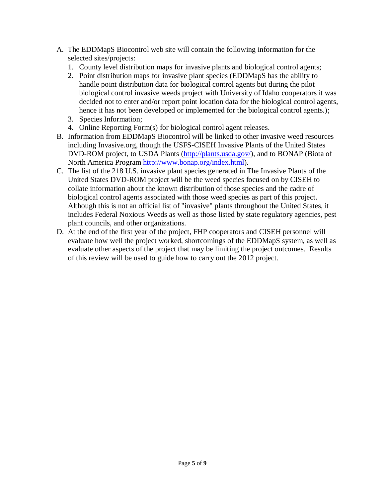- A. The EDDMapS Biocontrol web site will contain the following information for the selected sites/projects:
	- 1. County level distribution maps for invasive plants and biological control agents;
	- 2. Point distribution maps for invasive plant species (EDDMapS has the ability to handle point distribution data for biological control agents but during the pilot biological control invasive weeds project with University of Idaho cooperators it was decided not to enter and/or report point location data for the biological control agents, hence it has not been developed or implemented for the biological control agents.);
	- 3. Species Information;
	- 4. Online Reporting Form(s) for biological control agent releases.
- B. Information from EDDMapS Biocontrol will be linked to other invasive weed resources including Invasive.org, though the USFS-CISEH Invasive Plants of the United States DVD-ROM project, to USDA Plants [\(http://plants.usda.gov/\)](http://plants.usda.gov/), and to BONAP (Biota of North America Program [http://www.bonap.org/index.html\)](http://www.bonap.org/index.html).
- C. The list of the 218 U.S. invasive plant species generated in The Invasive Plants of the United States DVD-ROM project will be the weed species focused on by CISEH to collate information about the known distribution of those species and the cadre of biological control agents associated with those weed species as part of this project. Although this is not an official list of "invasive" plants throughout the United States, it includes Federal Noxious Weeds as well as those listed by state regulatory agencies, pest plant councils, and other organizations.
- D. At the end of the first year of the project, FHP cooperators and CISEH personnel will evaluate how well the project worked, shortcomings of the EDDMapS system, as well as evaluate other aspects of the project that may be limiting the project outcomes. Results of this review will be used to guide how to carry out the 2012 project.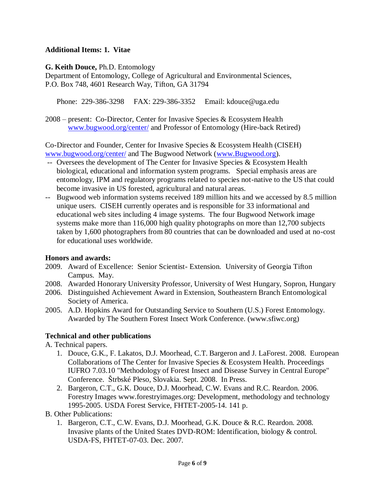## **Additional Items: 1. Vitae**

**G. Keith Douce,** Ph.D. Entomology

Department of Entomology, College of Agricultural and Environmental Sciences, P.O. Box 748, 4601 Research Way, Tifton, GA 31794

Phone: 229-386-3298 FAX: 229-386-3352 Email: kdouce@uga.edu

2008 – present: Co-Director, Center for Invasive Species & Ecosystem Health [www.bugwood.org/center/](http://www.bugwood.org/center/) and Professor of Entomology (Hire-back Retired)

Co-Director and Founder, Center for Invasive Species & Ecosystem Health (CISEH) [www.bugwood.org/center/](http://www.bugwood.org/center/) and The Bugwood Network [\(www.Bugwood.org\)](http://www.bugwood.org/).

- -- Oversees the development of The Center for Invasive Species & Ecosystem Health biological, educational and information system programs. Special emphasis areas are entomology, IPM and regulatory programs related to species not-native to the US that could become invasive in US forested, agricultural and natural areas.
- -- Bugwood web information systems received 189 million hits and we accessed by 8.5 million unique users. CISEH currently operates and is responsible for 33 informational and educational web sites including 4 image systems. The four Bugwood Network image systems make more than 116,000 high quality photographs on more than 12,700 subjects taken by 1,600 photographers from 80 countries that can be downloaded and used at no-cost for educational uses worldwide.

# **Honors and awards:**

- 2009. Award of Excellence: Senior Scientist- Extension. University of Georgia Tifton Campus. May.
- 2008. Awarded Honorary University Professor, University of West Hungary, Sopron, Hungary
- 2006. Distinguished Achievement Award in Extension, Southeastern Branch Entomological Society of America.
- 2005. A.D. Hopkins Award for Outstanding Service to Southern (U.S.) Forest Entomology. Awarded by The Southern Forest Insect Work Conference. (www.sfiwc.org)

# **Technical and other publications**

A. Technical papers.

- 1. Douce, G.K., F. Lakatos, D.J. Moorhead, C.T. Bargeron and J. LaForest. 2008. European Collaborations of The Center for Invasive Species & Ecosystem Health. Proceedings IUFRO 7.03.10 "Methodology of Forest Insect and Disease Survey in Central Europe" Conference. Štrbské Pleso, Slovakia. Sept. 2008. In Press.
- 2. Bargeron, C.T., G.K. Douce, D.J. Moorhead, C.W. Evans and R.C. Reardon. 2006. Forestry Images www.forestryimages.org: Development, methodology and technology 1995-2005. USDA Forest Service, FHTET-2005-14. 141 p.
- B. Other Publications:
	- 1. Bargeron, C.T., C.W. Evans, D.J. Moorhead, G.K. Douce & R.C. Reardon. 2008. Invasive plants of the United States DVD-ROM: Identification, biology & control. USDA-FS, FHTET-07-03. Dec. 2007.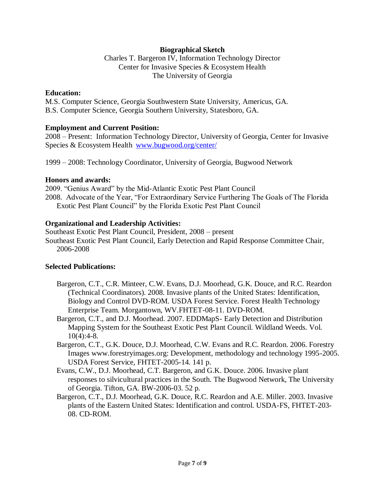#### **Biographical Sketch**

Charles T. Bargeron IV, Information Technology Director Center for Invasive Species & Ecosystem Health The University of Georgia

#### **Education:**

M.S. Computer Science, Georgia Southwestern State University, Americus, GA. B.S. Computer Science, Georgia Southern University, Statesboro, GA.

#### **Employment and Current Position:**

2008 – Present: Information Technology Director, University of Georgia, Center for Invasive Species & Ecosystem Health [www.bugwood.org/center/](http://www.bugwood.org/center/)

1999 – 2008: Technology Coordinator, University of Georgia, Bugwood Network

#### **Honors and awards:**

2009. "Genius Award" by the Mid-Atlantic Exotic Pest Plant Council 2008. Advocate of the Year, "For Extraordinary Service Furthering The Goals of The Florida Exotic Pest Plant Council" by the Florida Exotic Pest Plant Council

#### **Organizational and Leadership Activities:**

Southeast Exotic Pest Plant Council, President, 2008 – present Southeast Exotic Pest Plant Council, Early Detection and Rapid Response Committee Chair, 2006-2008

### **Selected Publications:**

- Bargeron, C.T., C.R. Minteer, C.W. Evans, D.J. Moorhead, G.K. Douce, and R.C. Reardon (Technical Coordinators). 2008. Invasive plants of the United States: Identification, Biology and Control DVD-ROM. USDA Forest Service. Forest Health Technology Enterprise Team. Morgantown, WV.FHTET-08-11. DVD-ROM.
- Bargeron, C.T., and D.J. Moorhead. 2007. EDDMapS- Early Detection and Distribution Mapping System for the Southeast Exotic Pest Plant Council. Wildland Weeds. Vol. 10(4):4-8.
- Bargeron, C.T., G.K. Douce, D.J. Moorhead, C.W. Evans and R.C. Reardon. 2006. Forestry Images www.forestryimages.org: Development, methodology and technology 1995-2005. USDA Forest Service, FHTET-2005-14. 141 p.
- Evans, C.W., D.J. Moorhead, C.T. Bargeron, and G.K. Douce. 2006. Invasive plant responses to silvicultural practices in the South. The Bugwood Network, The University of Georgia. Tifton, GA. BW-2006-03. 52 p.
- Bargeron, C.T., D.J. Moorhead, G.K. Douce, R.C. Reardon and A.E. Miller. 2003. Invasive plants of the Eastern United States: Identification and control. USDA-FS, FHTET-203- 08. CD-ROM.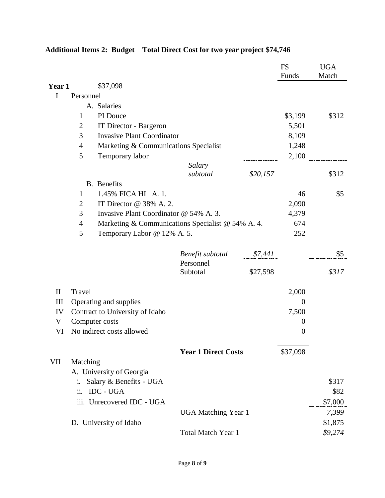|                    |                                                         |                                                                                             |                            |          | <b>FS</b><br>Funds | <b>UGA</b><br>Match |
|--------------------|---------------------------------------------------------|---------------------------------------------------------------------------------------------|----------------------------|----------|--------------------|---------------------|
| Year 1             |                                                         | \$37,098                                                                                    |                            |          |                    |                     |
| I                  | Personnel                                               |                                                                                             |                            |          |                    |                     |
|                    | A. Salaries                                             |                                                                                             |                            |          |                    |                     |
|                    | 1                                                       | PI Douce                                                                                    |                            |          | \$3,199            | \$312               |
|                    | $\overline{2}$                                          | IT Director - Bargeron                                                                      |                            |          | 5,501              |                     |
|                    | 3                                                       | <b>Invasive Plant Coordinator</b>                                                           |                            |          | 8,109              |                     |
|                    | $\overline{4}$<br>Marketing & Communications Specialist |                                                                                             |                            |          | 1,248              |                     |
|                    | 5                                                       | Temporary labor                                                                             |                            |          | 2,100              |                     |
|                    |                                                         |                                                                                             | Salary                     |          |                    |                     |
|                    |                                                         |                                                                                             | subtotal                   | \$20,157 |                    | \$312               |
|                    |                                                         | <b>B.</b> Benefits                                                                          |                            |          |                    |                     |
|                    | 1                                                       | 1.45% FICA HI A. 1.                                                                         |                            |          | 46                 | \$5                 |
|                    | 2                                                       | IT Director @ 38% A. 2.                                                                     |                            |          | 2,090              |                     |
|                    | 3                                                       | Invasive Plant Coordinator @ 54% A. 3.<br>Marketing & Communications Specialist @ 54% A. 4. |                            |          | 4,379              |                     |
|                    | $\overline{4}$                                          |                                                                                             |                            |          | 674                |                     |
|                    | 5                                                       | Temporary Labor @ 12% A. 5.                                                                 |                            |          | 252                |                     |
|                    |                                                         |                                                                                             | Benefit subtotal           | \$7,441  |                    | \$5                 |
|                    |                                                         |                                                                                             | Personnel<br>Subtotal      | \$27,598 |                    | \$317               |
| $\mathbf{I}$       | Travel                                                  |                                                                                             |                            |          | 2,000              |                     |
| $\mathop{\rm III}$ | Operating and supplies                                  |                                                                                             |                            | $\theta$ |                    |                     |
| IV                 |                                                         | Contract to University of Idaho                                                             |                            |          | 7,500              |                     |
| V                  | Computer costs                                          |                                                                                             |                            |          | $\theta$           |                     |
| VI                 |                                                         | No indirect costs allowed                                                                   |                            |          | $\boldsymbol{0}$   |                     |
|                    |                                                         |                                                                                             | <b>Year 1 Direct Costs</b> |          | \$37,098           |                     |
| VII                | Matching                                                |                                                                                             |                            |          |                    |                     |
|                    | A. University of Georgia                                |                                                                                             |                            |          |                    |                     |
|                    | i.                                                      | Salary & Benefits - UGA                                                                     |                            |          |                    | \$317               |
|                    | ii.                                                     | <b>IDC - UGA</b>                                                                            |                            |          |                    | \$82                |
|                    |                                                         | iii. Unrecovered IDC - UGA                                                                  |                            |          |                    | \$7,000             |
|                    | <b>UGA Matching Year 1</b>                              |                                                                                             |                            |          |                    | 7,399               |
|                    | D. University of Idaho                                  |                                                                                             |                            |          | \$1,875            |                     |
|                    |                                                         |                                                                                             | Total Match Year 1         |          |                    | \$9,274             |

# **Additional Items 2: Budget Total Direct Cost for two year project \$74,746**